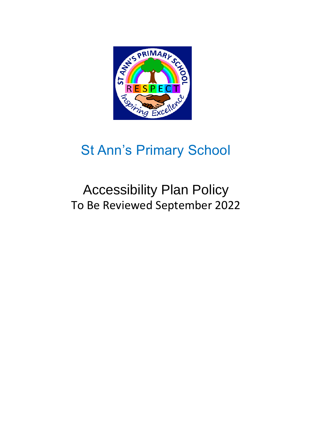

## St Ann's Primary School

## Accessibility Plan Policy To Be Reviewed September 2022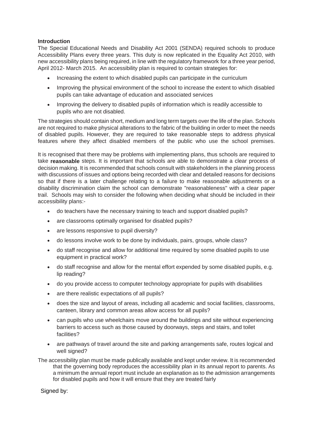## **Introduction**

The Special Educational Needs and Disability Act 2001 (SENDA) required schools to produce Accessibility Plans every three years. This duty is now replicated in the Equality Act 2010, with new accessibility plans being required, in line with the regulatory framework for a three year period, April 2012- March 2015. An accessibility plan is required to contain strategies for:

- Increasing the extent to which disabled pupils can participate in the curriculum
- Improving the physical environment of the school to increase the extent to which disabled pupils can take advantage of education and associated services
- Improving the delivery to disabled pupils of information which is readily accessible to pupils who are not disabled.

The strategies should contain short, medium and long term targets over the life of the plan. Schools are not required to make physical alterations to the fabric of the building in order to meet the needs of disabled pupils. However, they are required to take reasonable steps to address physical features where they affect disabled members of the public who use the school premises.

It is recognised that there may be problems with implementing plans, thus schools are required to take **reasonable** steps. It is important that schools are able to demonstrate a clear process of decision making. It is recommended that schools consult with stakeholders in the planning process with discussions of issues and options being recorded with clear and detailed reasons for decisions so that if there is a later challenge relating to a failure to make reasonable adjustments or a disability discrimination claim the school can demonstrate "reasonableness" with a clear paper trail. Schools may wish to consider the following when deciding what should be included in their accessibility plans:-

- do teachers have the necessary training to teach and support disabled pupils?
- are classrooms optimally organised for disabled pupils?
- are lessons responsive to pupil diversity?
- do lessons involve work to be done by individuals, pairs, groups, whole class?
- do staff recognise and allow for additional time required by some disabled pupils to use equipment in practical work?
- do staff recognise and allow for the mental effort expended by some disabled pupils, e.g. lip reading?
- do you provide access to computer technology appropriate for pupils with disabilities
- are there realistic expectations of all pupils?
- does the size and layout of areas, including all academic and social facilities, classrooms, canteen, library and common areas allow access for all pupils?
- can pupils who use wheelchairs move around the buildings and site without experiencing barriers to access such as those caused by doorways, steps and stairs, and toilet facilities?
- are pathways of travel around the site and parking arrangements safe, routes logical and well signed?
- The accessibility plan must be made publically available and kept under review. It is recommended that the governing body reproduces the accessibility plan in its annual report to parents. As a minimum the annual report must include an explanation as to the admission arrangements for disabled pupils and how it will ensure that they are treated fairly

Signed by: